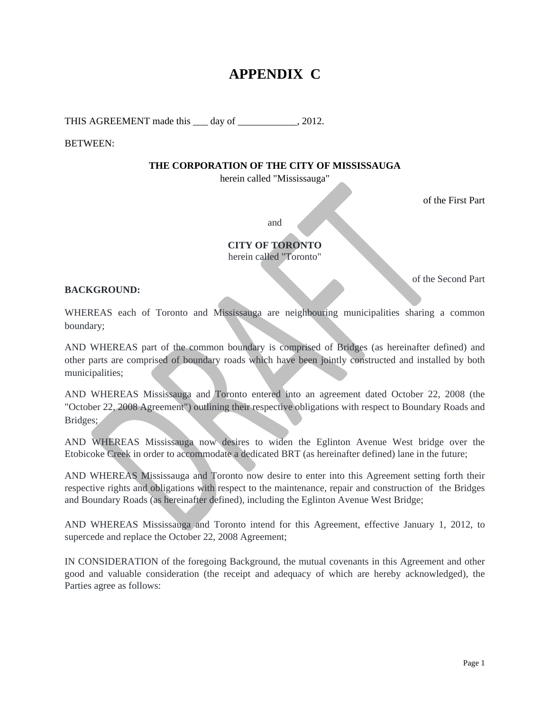# **APPENDIX C**

THIS AGREEMENT made this <u>quarely</u> day of <u>quality and 2012</u>.

BETWEEN:

#### **THE CORPORATION OF THE CITY OF MISSISSAUGA**

herein called "Mississauga"

of the First Part

of the Second Part

and the contract of the contract of the contract of the contract of the contract of the contract of the contract of the contract of the contract of the contract of the contract of the contract of the contract of the contra

**CITY OF TORONTO**  herein called "Toronto"

**BACKGROUND:** 

WHEREAS each of Toronto and Mississauga are neighbouring municipalities sharing a common boundary; the contract of the contract of the contract of the contract of the contract of the contract of the contract of the contract of the contract of the contract of the contract of the contract of the contract of the

AND WHEREAS part of the common boundary is comprised of Bridges (as hereinafter defined) and other parts are comprised of boundary roads which have been jointly constructed and installed by both municipalities; and the contract of the contract of the contract of the contract of the contract of the contract of the contract of the contract of the contract of the contract of the contract of the contract of the contra

AND WHEREAS Mississauga and Toronto entered into an agreement dated October 22, 2008 (the "October 22, 2008 Agreement") outlining their respective obligations with respect to Boundary Roads and Bridges; and the contract of the contract of the contract of the contract of the contract of the contract of the contract of the contract of the contract of the contract of the contract of the contract of the contract of t

AND WHEREAS Mississauga now desires to widen the Eglinton Avenue West bridge over the Etobicoke Creek in order to accommodate a dedicated BRT (as hereinafter defined) lane in the future;

AND WHEREAS Mississauga and Toronto now desire to enter into this Agreement setting forth their respective rights and obligations with respect to the maintenance, repair and construction of the Bridges and Boundary Roads (as hereinafter defined), including the Eglinton Avenue West Bridge;

AND WHEREAS Mississauga and Toronto intend for this Agreement, effective January 1, 2012, to supercede and replace the October 22, 2008 Agreement;

IN CONSIDERATION of the foregoing Background, the mutual covenants in this Agreement and other good and valuable consideration (the receipt and adequacy of which are hereby acknowledged), the Parties agree as follows: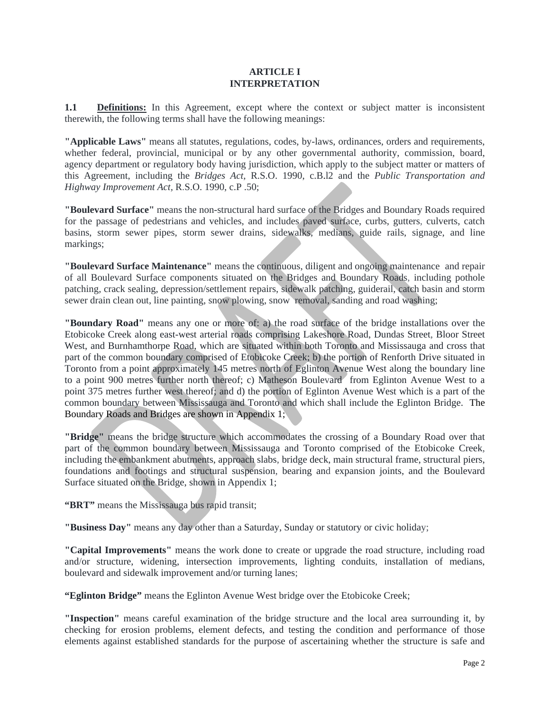### **ARTICLE I INTERPRETATION**

**1.1 Definitions:** In this Agreement, except where the context or subject matter is inconsistent therewith, the following terms shall have the following meanings:

**"Applicable Laws"** means all statutes, regulations, codes, by-laws, ordinances, orders and requirements, whether federal, provincial, municipal or by any other governmental authority, commission, board, agency department or regulatory body having jurisdiction, which apply to the subject matter or matters of this Agreement, including the *Bridges Act,* R.S.O. 1990, c.B.l2 and the *Public Transportation and Highway Improvement Act,* R.S.O. 1990, c.P .50;

**"Boulevard Surface"** means the non-structural hard surface of the Bridges and Boundary Roads required for the passage of pedestrians and vehicles, and includes paved surface, curbs, gutters, culverts, catch basins, storm sewer pipes, storm sewer drains, sidewalks, medians, guide rails, signage, and line markings; the contract of the contract of the contract of the contract of the contract of the contract of the contract of the contract of the contract of the contract of the contract of the contract of the contract of the

**"Boulevard Surface Maintenance"** means the continuous, diligent and ongoing maintenance and repair of all Boulevard Surface components situated on the Bridges and Boundary Roads, including pothole patching, crack sealing, depression/settlement repairs, sidewalk patching, guiderail, catch basin and storm sewer drain clean out, line painting, snow plowing, snow removal, sanding and road washing;

**"Boundary Road"** means any one or more of: a) the road surface of the bridge installations over the Etobicoke Creek along east-west arterial roads comprising Lakeshore Road, Dundas Street, Bloor Street West, and Burnhamthorpe Road, which are situated within both Toronto and Mississauga and cross that part of the common boundary comprised of Etobicoke Creek; b) the portion of Renforth Drive situated in Toronto from a point approximately 145 metres north of Eglinton Avenue West along the boundary line to a point 900 metres further north thereof; c) Matheson Boulevard from Eglinton Avenue West to a point 375 metres further west thereof; and d) the portion of Eglinton Avenue West which is a part of the common boundary between Mississauga and Toronto and which shall include the Eglinton Bridge. The Boundary Roads and Bridges are shown in Appendix 1;

**"Bridge"** means the bridge structure which accommodates the crossing of a Boundary Road over that part of the common boundary between Mississauga and Toronto comprised of the Etobicoke Creek, including the embankment abutments, approach slabs, bridge deck, main structural frame, structural piers, foundations and footings and structural suspension, bearing and expansion joints, and the Boulevard Surface situated on the Bridge, shown in Appendix 1;

**"BRT"** means the Mississauga bus rapid transit;

**"Business Day"** means any day other than a Saturday, Sunday or statutory or civic holiday;

**"Capital Improvements"** means the work done to create or upgrade the road structure, including road and/or structure, widening, intersection improvements, lighting conduits, installation of medians, boulevard and sidewalk improvement and/or turning lanes;

**"Eglinton Bridge"** means the Eglinton Avenue West bridge over the Etobicoke Creek;

**"Inspection"** means careful examination of the bridge structure and the local area surrounding it, by checking for erosion problems, element defects, and testing the condition and performance of those elements against established standards for the purpose of ascertaining whether the structure is safe and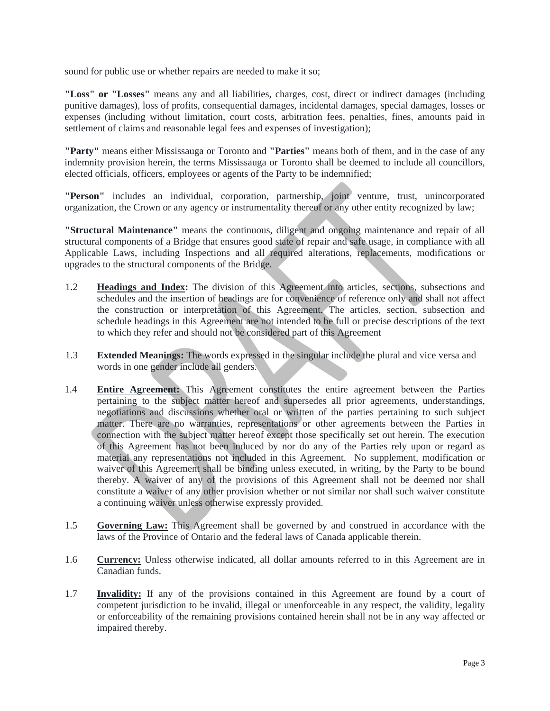sound for public use or whether repairs are needed to make it so;

**"Loss" or "Losses"** means any and all liabilities, charges, cost, direct or indirect damages (including punitive damages), loss of profits, consequential damages, incidental damages, special damages, losses or expenses (including without limitation, court costs, arbitration fees, penalties, fines, amounts paid in settlement of claims and reasonable legal fees and expenses of investigation);

**"Party"** means either Mississauga or Toronto and **"Parties"** means both of them, and in the case of any indemnity provision herein, the terms Mississauga or Toronto shall be deemed to include all councillors, elected officials, officers, employees or agents of the Party to be indemnified;

**"Person"** includes an individual, corporation, partnership, joint venture, trust, unincorporated organization, the Crown or any agency or instrumentality thereof or any other entity recognized by law;

**"Structural Maintenance"** means the continuous, diligent and ongoing maintenance and repair of all structural components of a Bridge that ensures good state of repair and safe usage, in compliance with all Applicable Laws, including Inspections and all required alterations, replacements, modifications or upgrades to the structural components of the Bridge.

- 1.2 **Headings and Index:** The division of this Agreement into articles, sections, subsections and schedules and the insertion of headings are for convenience of reference only and shall not affect the construction or interpretation of this Agreement. The articles, section, subsection and schedule headings in this Agreement are not intended to be full or precise descriptions of the text to which they refer and should not be considered part of this Agreement
- 1.3 **Extended Meanings:** The words expressed in the singular include the plural and vice versa and
- words in one gender include all genders.<br>
1.4 **Entire Agreement:** This Agreement constitutes the entire agreement between the Parties pertaining to the subject matter hereof and supersedes all prior agreements, understandings, negotiations and discussions whether oral or written of the parties pertaining to such subject matter. There are no warranties, representations or other agreements between the Parties in connection with the subject matter hereof except those specifically set out herein. The execution of this Agreement has not been induced by nor do any of the Parties rely upon or regard as material any representations not included in this Agreement. No supplement, modification or waiver of this Agreement shall be binding unless executed, in writing, by the Party to be bound thereby. A waiver of any of the provisions of this Agreement shall not be deemed nor shall constitute a waiver of any other provision whether or not similar nor shall such waiver constitute a continuing waiver unless otherwise expressly provided.
- 1.5 **Governing Law:** This Agreement shall be governed by and construed in accordancewith the laws of the Province of Ontario and the federal laws of Canada applicable therein.
- 1.6 **Currency:** Unless otherwise indicated, all dollar amounts referred to in this Agreement are in Canadian funds.
- 1.7 **Invalidity:** If any of the provisions contained in this Agreement are found by a court of competent jurisdiction to be invalid, illegal or unenforceable in any respect, the validity, legality or enforceability of the remaining provisions contained herein shall not be in any way affected or impaired thereby.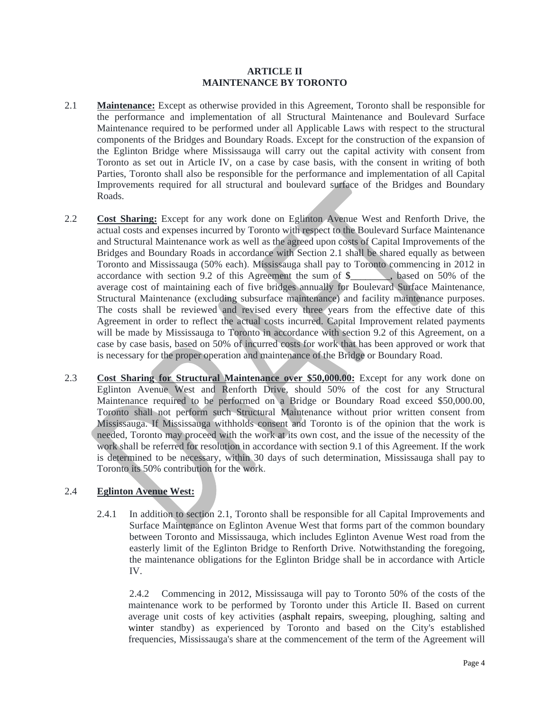#### **ARTICLE II MAINTENANCE BY TORONTO**

- 2.1 **Maintenance:** Except as otherwise provided in this Agreement, Toronto shall be responsible for the performance and implementation of all Structural Maintenance and Boulevard Surface Maintenance required to be performed under all Applicable Laws with respect to the structural components of the Bridges and Boundary Roads. Except for the construction of the expansion of the Eglinton Bridge where Mississauga will carry out the capital activity with consent from Toronto as set out in Article IV, on a case by case basis, with the consent in writing of both Parties, Toronto shall also be responsible for the performance and implementation of all Capital Improvements required for all structural and boulevard surface of the Bridges and Boundary Roads.
- 2.2 **Cost Sharing:** Except for any work done on Eglinton Avenue West and Renforth Drive, the actual costs and expenses incurred by Toronto with respect to the Boulevard Surface Maintenance and Structural Maintenance work as well as the agreed upon costs of Capital Improvements of the Bridges and Boundary Roads in accordance with Section 2.1 shall be shared equally as between Toronto and Mississauga (50% each). Mississauga shall pay to Toronto commencing in 2012 in accordance with section 9.2 of this Agreement the sum of \$\_\_\_\_\_, based on 50% of the average cost of maintaining each of five bridges annually for Boulevard Surface Maintenance, average cost of maintaining each of five bridges annually for Boulevard Surface Maintenance,<br>Structural Maintenance (excluding subsurface maintenance) and facility maintenance purposes.<br>The costs shall be reviewed and revi Agreement in order to reflect the actual costs incurred. Capital Improvement related payments will be made by Mississauga to Toronto in accordance with section 9.2 of this Agreement, on a case by case basis, based on 50% of incurred costs for work that has been approved or work that is necessary for the proper operation and maintenance of the Bridge or Boundary Road.
- 2.3 **Cost Sharing for Structural Maintenance over \$50,000.00:** Except for any work done on Eglinton Avenue West and Renforth Drive, should 50% of the cost for any Structural Maintenance required to be performed on a Bridge or Boundary Road exceed \$50,000.00, Toronto shall not perform such Structural Maintenance without prior written consent from Mississauga. If Mississauga withholds consent and Toronto is of the opinion that the work is needed, Toronto may proceed with the work at its own cost, and the issue of the necessity of the work shall be referred for resolution in accordance with section 9.1 of this Agreement. If the work is determined to be necessary, within 30 days of such determination, Mississauga shall pay to Toronto its 50% contribution for the work. 2.4 **Eglinton Avenue West:**

2.4.1 In addition to section 2.1, Toronto shall be responsible for all Capital Improvements and Surface Maintenance on Eglinton Avenue West that forms part of the common boundary between Toronto and Mississauga, which includes Eglinton Avenue West road from the easterly limit of the Eglinton Bridge to Renforth Drive. Notwithstanding the foregoing, the maintenance obligationsfor the Eglinton Bridge shall be in accordance with Article IV.

2.4.2 Commencing in 2012, Mississauga will pay to Toronto 50% of the costs of the maintenance work to be performed by Toronto under this Article II. Based on current average unit costs of key activities (asphalt repairs, sweeping, ploughing, salting and winter standby) as experienced by Toronto and based on the City's established frequencies, Mississauga's share at the commencement of the term of the Agreement will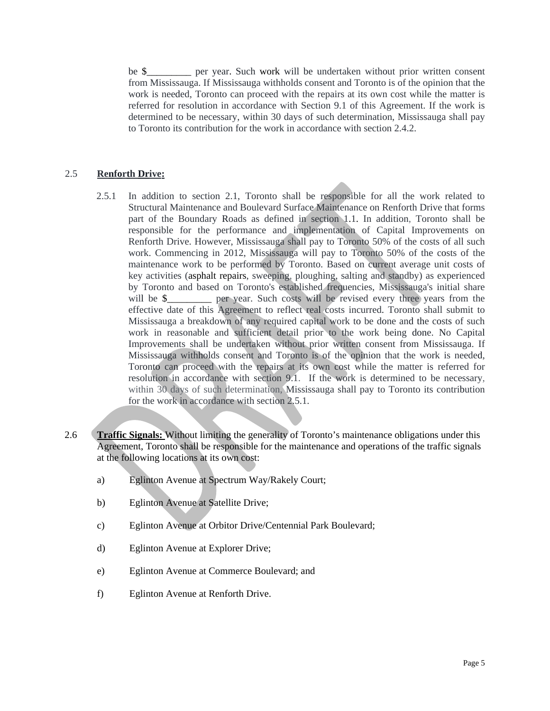be \$\_\_\_\_\_\_\_\_\_ per year. Such work will be undertaken without prior written consent from Mississauga. If Mississauga withholds consent and Toronto is of the opinion that the work is needed, Toronto can proceed with the repairs at its own cost while the matter is referred for resolution in accordance with Section 9.1 of this Agreement. If the work is determined to be necessary, within 30 days of such determination, Mississauga shall pay to Toronto its contribution for the work in accordance with section 2.4.2. 2.5 **Renforth Drive:**

- 2.5.1 In addition to section 2.1, Toronto shall be responsible for all the work related to Structural Maintenance and Boulevard Surface Maintenance on Renforth Drive that forms part of the Boundary Roads as defined in section 1.1. In addition, Toronto shall be responsible for the performance and implementation of Capital Improvements on Renforth Drive. However, Mississauga shall pay to Toronto 50% of the costs of all such work. Commencing in 2012, Mississauga will pay to Toronto 50% of the costs of the maintenance work to be performed by Toronto. Based on current average unit costs of key activities (asphalt repairs, sweeping, ploughing, salting and standby) as experienced by Toronto and based on Toronto's established frequencies, Mississauga's initial share will be \$\_\_\_\_\_\_\_\_\_ per year. Such costs will be revised every three years from the effective date of this Agreement to reflect real costs incurred. Toronto shall submit to Mississauga a breakdown of any required capital work to be done and the costs of such work in reasonable and sufficient detail prior to the work being done. No Capital Improvements shall be undertaken without prior written consent from Mississauga. If Mississauga withholds consent and Toronto is of the opinion that the work is needed, Toronto can proceed with the repairs at its own cost while the matter is referred for resolution in accordance with section 9.1. If the work is determined to be necessary, within 30 days of such determination, Mississauga shall pay to Toronto its contribution for the work in accordance with section 2.5.1.
- for the work in accordance with section 2.5.1.<br>2.6 **Traffic Signals:** Without limiting the generality of Toronto's maintenance obligations under this Agreement, Toronto shall be responsible for the maintenance and operations of the traffic signals at the following locations at its own cost:
	- a) Eglinton Avenue at Spectrum Way/Rakely Court;
	- b) Eglinton Avenue at Satellite Drive;
	- c) Eglinton Avenue at Orbitor Drive/Centennial Park Boulevard;
	- d) Eglinton Avenue at Explorer Drive;
	- e) Eglinton Avenue at Commerce Boulevard; and
	- f) Eglinton Avenue at Renforth Drive.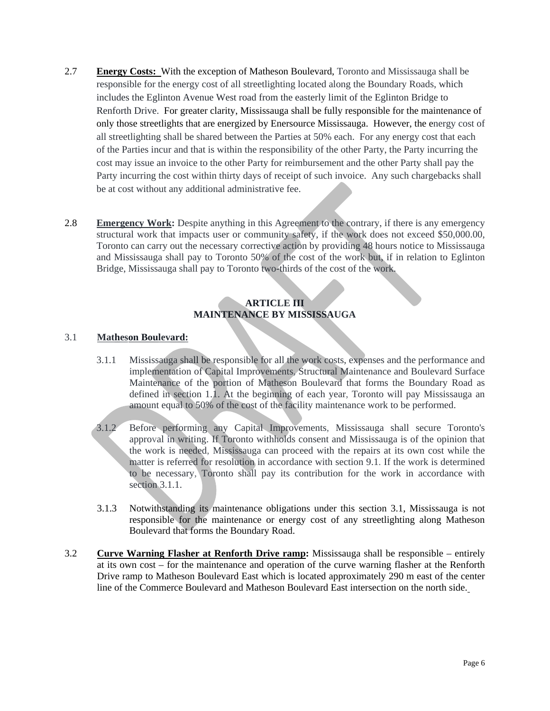- 2.7 **Energy Costs:** With the exception of Matheson Boulevard, Toronto and Mississauga shall be responsible for the energy cost of all streetlighting located along the Boundary Roads, which includes the Eglinton Avenue West road from the easterly limit of the Eglinton Bridge to Renforth Drive. For greater clarity, Mississauga shall be fully responsible for the maintenance of only those streetlights that are energized by Enersource Mississauga. However, the energy cost of all streetlighting shall be shared between the Parties at 50% each. For any energy cost that each of the Parties incur and that is within the responsibility of the other Party, the Party incurring the cost may issue an invoice to the other Party for reimbursement and the other Party shall pay the Party incurring the cost within thirty days of receipt of such invoice. Any such chargebacks shall be at cost without any additional administrative fee.
- 2.8 **Emergency Work:** Despite anything in this Agreement to the contrary, if there is any emergency structural work that impacts user or community safety, if the work does not exceed \$50,000.00, Toronto can carry out the necessary corrective action by providing 48 hours notice to Mississauga and Mississauga shall pay to Toronto 50% of the cost of the work but, if in relation to Eglinton Bridge, Mississauga shall pay to Toronto two-thirds of the cost of the work.

### **ARTICLE III MAINTENANCE BY MISSISSAUGA**

#### 3.1 **Matheson Boulevard:**

- 3.1.1 Mississauga shall be responsible for all the work costs, expenses and the performance and implementation of Capital Improvements, Structural Maintenance and Boulevard Surface Maintenance of the portion of Matheson Boulevard that forms the Boundary Road as defined in section 1.1. At the beginning of each year, Toronto will pay Mississauga an amount equal to 50% of the cost of the facility maintenance work to be performed.
- 3.1.2 Before performing any Capital Improvements, Mississauga shall secure Toronto's approval in writing. If Toronto withholds consent and Mississauga is of the opinion that the work is needed, Mississauga can proceed with the repairs at its own cost while the matter is referred for resolution in accordance with section 9.1. If the work is determined to be necessary, Toronto shall pay its contribution for the work in accordance with section 3.1.1.
- 3.1.3 Notwithstanding its maintenance obligations under this section 3.1, Mississauga is not responsible for the maintenance or energy cost of any streetlighting along Matheson Boulevard that forms the Boundary Road.
- 3.2 **Curve Warning Flasher at Renforth Drive ramp:** Mississauga shall be responsible entirely at its own cost – for the maintenance and operation of the curve warning flasher at the Renforth Drive ramp to Matheson Boulevard East which is located approximately 290 m east of the center line of the Commerce Boulevard and Matheson Boulevard East intersection on the north side.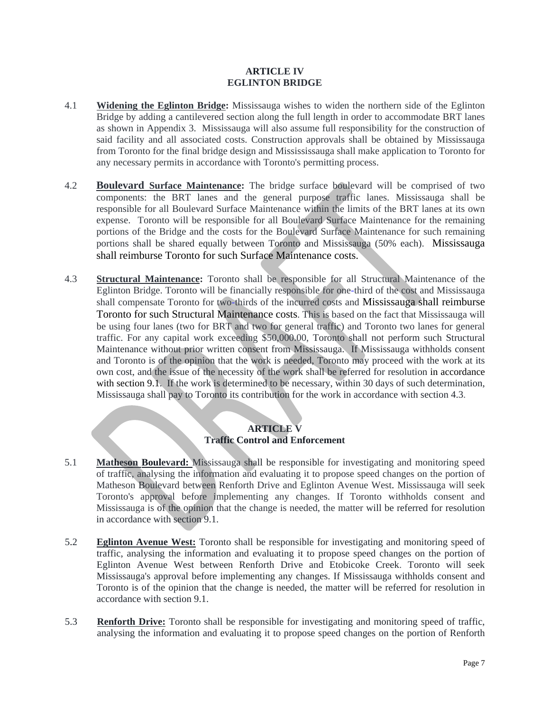#### **ARTICLE IV EGLINTON BRIDGE**

- 4.1 **Widening the Eglinton Bridge:** Mississauga wishes to widen the northern side of the Eglinton Bridge by adding a cantilevered section along the full length in order to accommodate BRT lanes as shown in Appendix 3. Mississauga will also assume full responsibility for the construction of said facility and all associated costs. Construction approvals shall be obtained by Mississauga from Toronto for the final bridge design and Missississauga shall make application to Toronto for any necessary permits in accordance with Toronto's permitting process.
- 4.2 **Boulevard Surface Maintenance:** The bridge surface boulevard will be comprised of two components: the BRT lanes and the general purpose traffic lanes. Mississauga shall be responsible for all Boulevard Surface Maintenance within the limits of the BRT lanes at its own expense. Toronto will be responsible for all Boulevard Surface Maintenance for the remaining portions of the Bridge and the costs for the Boulevard Surface Maintenance for such remaining portions shall be shared equally between Toronto and Mississauga (50% each). Mississauga shall reimburse Toronto for such Surface Maintenance costs.
- 4.3 **Structural Maintenance:** Toronto shall be responsible for all Structural Maintenance of the Eglinton Bridge. Toronto will be financially responsible for one-third of the cost and Mississauga shall compensate Toronto for two-thirds of the incurred costs and Mississauga shall reimburse Toronto for such Structural Maintenance costs. This is based on the fact that Mississauga will be using four lanes (two for BRT and two for general traffic) and Toronto two lanes for general traffic. For any capital work exceeding \$50,000.00, Toronto shall not perform such Structural Maintenance without prior written consent from Mississauga. If Mississauga withholds consent and Toronto is of the opinion that the work is needed, Toronto may proceed with the work at its own cost, and the issue of the necessity of the work shall be referred for resolution in accordance with section 9.1. If the work is determined to be necessary, within 30 days of such determination, Mississauga shall pay to Toronto its contribution for the work in accordance with section 4.3.

# **ARTICLE V Traffic Control and Enforcement**

- 5.1 **Matheson Boulevard:** Mississauga shall be responsible for investigating and monitoring speed of traffic, analysing the information and evaluating it to propose speed changes on the portion of Matheson Boulevard between Renforth Drive and Eglinton Avenue West. Mississauga will seek Toronto's approval before implementing any changes. If Toronto withholds consent and Mississauga is of the opinion that the change is needed, the matter will be referred for resolution
- in accordance with section 9.1.<br>5.2 **Eglinton Avenue West:** Toronto shall be responsible for investigating and monitoring speed of traffic, analysing the information and evaluating it to propose speed changes on the portion of Eglinton Avenue West between Renforth Drive and Etobicoke Creek. Toronto will seek Mississauga's approval before implementing any changes. If Mississauga withholds consent and Toronto is of the opinion that the change is needed, the matter will be referred for resolution in
- accordance with section 9.1.<br>5.3 **Renforth Drive:** Toronto shall be responsible for investigating and monitoring speed of traffic, analysing the information and evaluating it to propose speed changes on the portion of Renforth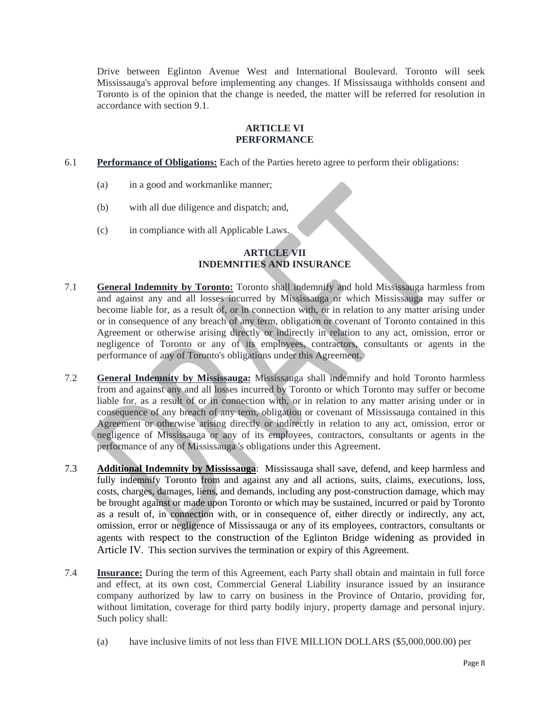Drive between Eglinton Avenue West and International Boulevard.Toronto will seek Mississauga's approval before implementing any changes. If Mississauga withholds consent and Toronto is of the opinion that the change is needed, the matter will be referred for resolution in accordance with section 9.1.

#### **ARTICLE VI PERFORMANCE**

- 6.1 **Performance of Obligations:** Each of the Parties hereto agree to perform their obligations:
	- (a) in a good and workmanlike manner;
	- (b) with all due diligence and dispatch; and,
	- (c) in compliance with all Applicable Laws.

# **ARTICLE VII INDEMNITIES AND INSURANCE**

- 7.1 **General Indemnity by Toronto:** Toronto shall indemnify and hold Mississauga harmless from and against any and all losses incurred by Mississauga or which Mississauga may suffer or become liable for, as a result of, or in connection with, or in relation to any matter arising under or in consequence of any breach of any term, obligation or covenant of Toronto contained in this Agreement or otherwise arising directly or indirectly in relation to any act, omission, error or negligence of Toronto or any of its employees,contractors, consultants or agents in the performance of any of Toronto's obligations under this Agreement.
- 7.2 **General Indemnity by Mississauga:** Mississauga shall indemnify and hold Toronto harmless from and against any and all losses incurred by Toronto or which Toronto may suffer or become liable for, as a result of or in connection with, or in relation to any matter arising under or in consequence of any breach of any term, obligation or covenant of Mississauga contained in this Agreement or otherwise arising directly or indirectly in relation to any act, omission, error or negligence of Mississauga or any of its employees, contractors, consultants or agents in the performance of any of Mississauga's obligations under this Agreement.
- performance of any of Mississauga 's obligations under this Agreement. 7.3 **Additional Indemnity by Mississauga**: Mississauga shall save, defend, and keep harmless and fully indemnify Toronto from and against any and all actions, suits, claims, executions, loss, costs, charges, damages, liens, and demands, including any post-construction damage, which may be brought against or made upon Toronto or which may be sustained, incurred or paid by Toronto as a result of, in connection with, or in consequence of, either directly or indirectly, any act, omission, error or negligence of Mississauga or any of its employees, contractors, consultants or agents with respect to the construction of the Eglinton Bridge widening as provided in Article IV. This section survives the termination or expiry of this Agreement.
- 7.4 **Insurance:** During the term of this Agreement, each Party shall obtain and maintain in full force and effect, at its own cost, Commercial General Liability insurance issued by an insurance company authorized by law to carry on business in the Province of Ontario, providing for, without limitation, coverage for third party bodily injury, property damage and personal injury. Such policy shall:
	- (a) have inclusive limits of not less than FIVE MILLION DOLLARS (\$5,000,000.00) per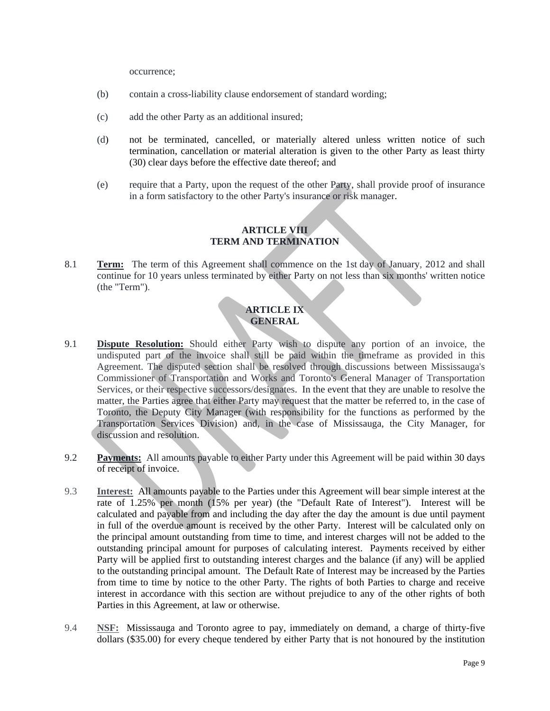occurrence;

- (b) contain a cross-liability clause endorsement of standard wording;
- (c) add the other Party as an additional insured;
- (d) not be terminated, cancelled, or materially altered unless written notice of such termination, cancellation or material alteration is given to the other Party as least thirty (30) clear days before the effective date thereof; and
- (e) require that a Party, upon the request of the other Party, shall provide proof of insurance in a form satisfactory to the other Party's insurance or risk manager.

# **ARTICLE VIII TERM AND TERMINATION**

8.1 **Term:** The term of this Agreement shall commence on the 1st day of January, 2012 and shall continue for 10 years unless terminated by either Party on not less than six months' written notice (the "Term").

# **ARTICLE IX GENERAL**

- 9.1 **Dispute Resolution:** Should either Party wish to dispute any portion of an invoice, the undisputed part of the invoice shall still be paid within the timeframe as provided in this Agreement. The disputed section shall be resolved through discussions between Mississauga's Commissioner of Transportation and Works and Toronto's General Manager of Transportation Services, or their respective successors/designates. In the event that they are unable to resolve the matter, the Parties agree that either Party may request that the matter be referred to, in the case of Toronto, the Deputy City Manager (with responsibility for the functions as performed by the Transportation Services Division) and, in the case of Mississauga, the City Manager, for discussion and resolution.
- 9.2 **Payments:** All amounts payable to either Party under this Agreement will be paid within 30 days of receipt of invoice.
- 9.3 **Interest:** All amounts payable to the Parties under this Agreement will bear simple interest at the rate of 1.25% per month (15% per year) (the "Default Rate of Interest"). Interest will be calculated and payable from and including the day after the day the amount is due until payment in full of the overdue amount is received by the other Party. Interest will be calculated only on the principal amount outstanding from time to time, and interest charges will not be added to the outstanding principal amount for purposes of calculating interest. Payments received by either Party will be applied first to outstanding interest charges and the balance (if any) will be applied to the outstanding principal amount. The Default Rate of Interest may be increased by the Parties from time to time by notice to the other Party. The rights of both Parties to charge and receive interest in accordance with this section are without prejudice to any of the other rights of both Parties in this Agreement, at law or otherwise.
- 9.4 **NSF:** Mississauga and Toronto agree to pay, immediately on demand, a charge of thirty-five dollars (\$35.00) for every cheque tendered by either Party that is not honoured by the institution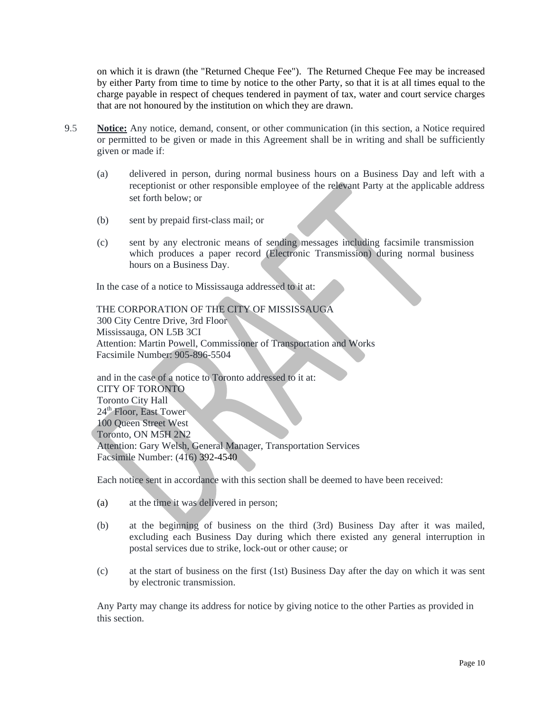on which it is drawn (the "Returned Cheque Fee"). The Returned Cheque Fee may be increased by either Party from time to time by notice to the other Party, so that it is at all times equal to the charge payable in respect of cheques tendered in payment of tax, water and court service charges that are not honoured by the institution on which they are drawn.

- 9.5 **Notice:** Any notice, demand, consent, or other communication (in this section, a Notice required or permitted to be given or made in this Agreement shall be in writing and shall be sufficiently given or made if:
	- (a) delivered in person, during normal business hours on a Business Day and left with a receptionist or other responsible employee of the relevant Party at the applicable address set forth below; or
	- (b) sent by prepaid first-class mail; or
	- (c) sent by any electronic means of sending messages including facsimile transmission which produces a paper record (Electronic Transmission) during normal business hours on a Business Day.<br>In the case of a notice to Mississauga addressed to it at:

#### THE CORPORATION OF THE CITY OF MISSISSAUGA 300 City Centre Drive, 3rd Floor Mississauga, ON L5B 3CI Attention: Martin Powell, Commissioner of Transportation and Works Facsimile Number: 905-896-5504

and in the case of a notice to Toronto addressed to it at: CITY OF TORONTO Toronto City Hall<br>24<sup>th</sup> Floor, East Tower 24<sup>th</sup> Floor, East Tower 100 Queen Street West Toronto, ON M5H 2N2 Attention: Gary Welsh, General Manager, Transportation Services Facsimile Number: (416) 392-4540

Each notice sent in accordance with this section shall be deemed to have been received:

- (a) at the time it was delivered in person;
- (b) at the beginning of business on the third (3rd) Business Day after it was mailed, excluding each Business Day during which there existed any general interruption in postal services due to strike, lock-out or other cause; or
- (c) at the start of business on the first (1st) Business Day after the day on which it was sent by electronic transmission.

Any Party may change its address for notice by giving notice to the other Parties as provided in this section.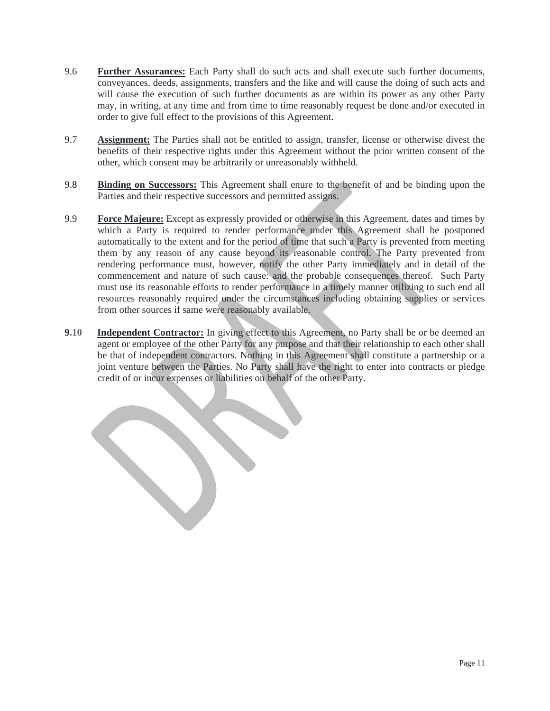- 9.6 **Further Assurances:** Each Party shall do such acts and shall execute such further documents, conveyances, deeds, assignments, transfers and the like and will cause the doing of such acts and will cause the execution of such further documents as are within its power as any other Party may, in writing, at any time and from time to time reasonably request be done and/or executed in
- order to give full effect to the provisions of this Agreement.<br>9.7 **Assignment:** The Parties shall not be entitled to assign, transfer, license or otherwise divest the benefits of their respective rights under this Agreement without the prior written consent of the other, which consent may be arbitrarily or unreasonably withheld.
- 9.8 **Binding on Successors:** This Agreement shall enure to the benefit of and be binding upon the Parties and their respective successors and permitted assigns.
- 9.9 **Force Majeure:** Except as expressly provided or otherwise in this Agreement, dates and times by which a Party is required to render performance under this Agreement shall be postponed automatically to the extent and for the period of time that such a Party is prevented from meeting them by any reason of any cause beyond its reasonable control. The Party prevented from rendering performance must, however, notify the other Party immediately and in detail of the commencement and nature of such cause: and the probable consequences thereof. Such Party must use its reasonable efforts to render performance in a timely manner utilizing to such end all resources reasonably required under the circumstances including obtaining supplies or services from other sources if same were reasonably available.
- **9.10 Independent Contractor:** In giving effect to this Agreement, no Party shall be or be deemed an agent or employee of the other Party for any purpose and that their relationship to each other shall be that of independent contractors. Nothing in this Agreement shall constitute a partnership or a joint venture between the Parties. No Party shall have the right to enter into contracts or pledge credit of or incur expenses or liabilities on behalf of the other Party.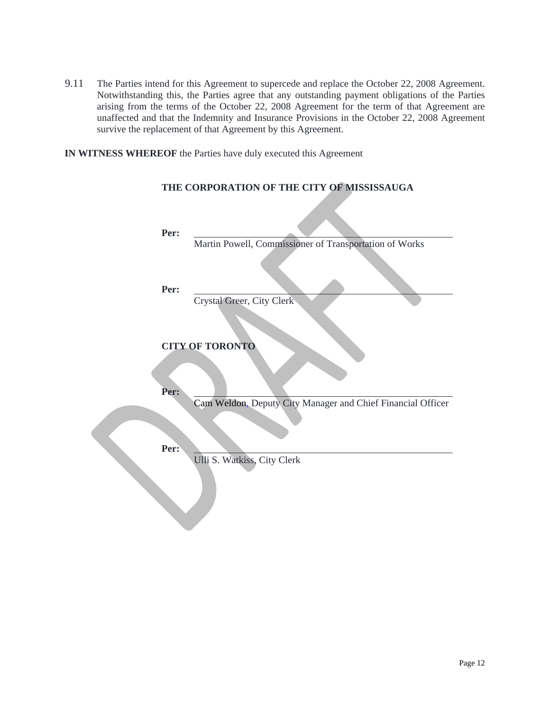9.11 The Parties intend for this Agreement to supercede and replace the October 22, 2008 Agreement. Notwithstanding this, the Parties agree that any outstanding payment obligations of the Parties arising from the terms of the October 22, 2008 Agreement for the term of that Agreement are unaffected and that the Indemnity and Insurance Provisions in the October 22, 2008 Agreement survive the replacement of that Agreement by this Agreement.

**IN WITNESS WHEREOF** the Parties have duly executed this Agreement

| Per: |                                                             |  |  |  |
|------|-------------------------------------------------------------|--|--|--|
|      | Martin Powell, Commissioner of Transportation of Works      |  |  |  |
| Per: | Crystal Greer, City Clerk                                   |  |  |  |
|      |                                                             |  |  |  |
| Per: | <b>CITY OF TORONTO</b>                                      |  |  |  |
| Per: | Cam Weldon, Deputy City Manager and Chief Financial Officer |  |  |  |
|      | Ulli S. Watkiss, City Clerk                                 |  |  |  |

#### **THE CORPORATION OF THE CITY OF MISSISSAUGA**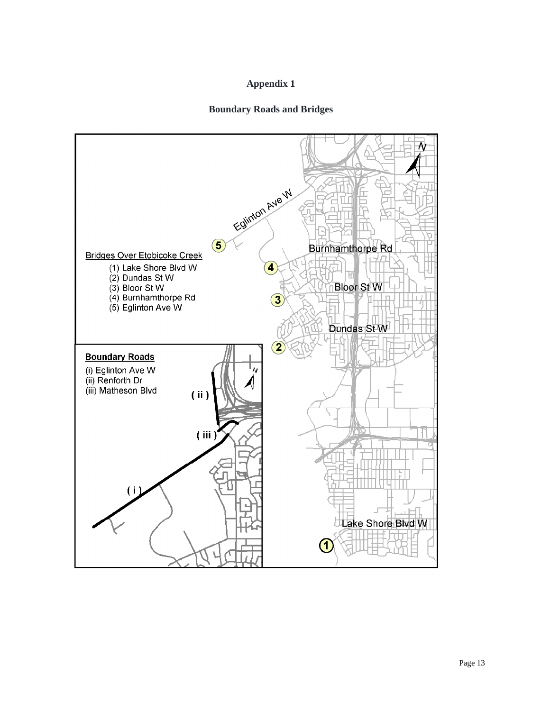# **Appendix 1**

### **Boundary Roads and Bridges**

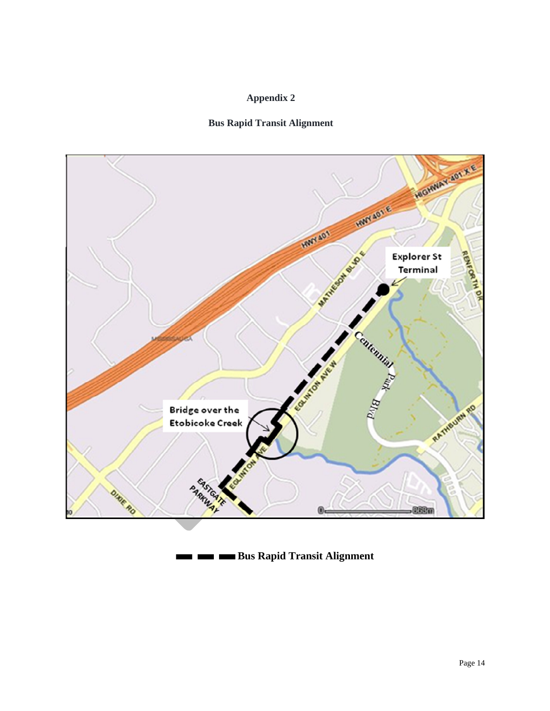### **Appendix 2**





**Bus Rapid Transit Alignment TE**